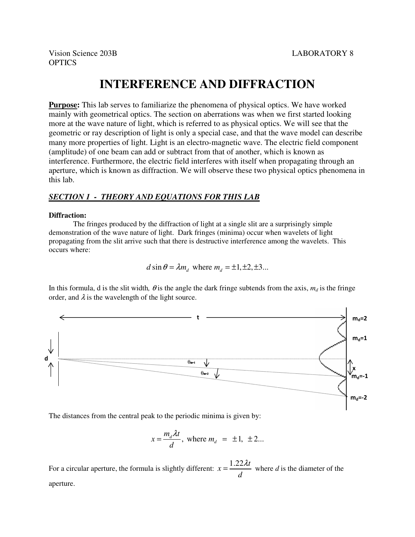# **INTERFERENCE AND DIFFRACTION**

**Purpose:** This lab serves to familiarize the phenomena of physical optics. We have worked mainly with geometrical optics. The section on aberrations was when we first started looking more at the wave nature of light, which is referred to as physical optics. We will see that the geometric or ray description of light is only a special case, and that the wave model can describe many more properties of light. Light is an electro-magnetic wave. The electric field component (amplitude) of one beam can add or subtract from that of another, which is known as interference. Furthermore, the electric field interferes with itself when propagating through an aperture, which is known as diffraction. We will observe these two physical optics phenomena in this lab.

## *SECTION 1 - THEORY AND EQUATIONS FOR THIS LAB*

### **Diffraction:**

 The fringes produced by the diffraction of light at a single slit are a surprisingly simple demonstration of the wave nature of light. Dark fringes (minima) occur when wavelets of light propagating from the slit arrive such that there is destructive interference among the wavelets. This occurs where:

$$
d \sin \theta = \lambda m_d \text{ where } m_d = \pm 1, \pm 2, \pm 3...
$$

In this formula, d is the slit width,  $\theta$  is the angle the dark fringe subtends from the axis,  $m_d$  is the fringe order, and  $\lambda$  is the wavelength of the light source.



The distances from the central peak to the periodic minima is given by:

$$
x = \frac{m_d \lambda t}{d}, \text{ where } m_d = \pm 1, \pm 2...
$$

For a circular aperture, the formula is slightly different:  $x = \frac{1.22 \lambda t}{I}$ *d*  $=\frac{1.22 \lambda t}{l}$  where *d* is the diameter of the aperture.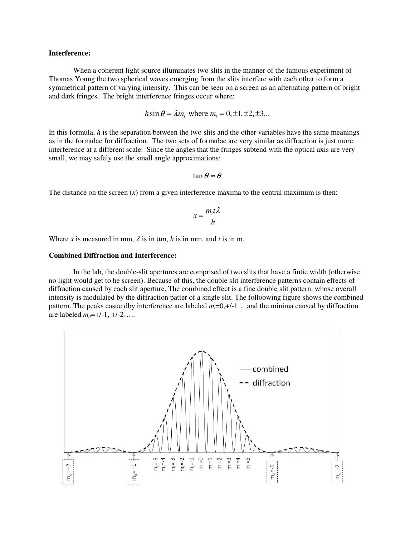#### **Interference:**

 When a coherent light source illuminates two slits in the manner of the famous experiment of Thomas Young the two spherical waves emerging from the slits interfere with each other to form a symmetrical pattern of varying intensity. This can be seen on a screen as an alternating pattern of bright and dark fringes. The bright interference fringes occur where:

$$
h\sin\theta = \lambda m_i
$$
, where  $m_i = 0, \pm 1, \pm 2, \pm 3...$ 

In this formula, *h* is the separation between the two slits and the other variables have the same meanings as in the formulae for diffraction. The two sets of formulae are very similar as diffraction is just more interference at a different scale. Since the angles that the fringes subtend with the optical axis are very small, we may safely use the small angle approximations:

$$
\tan\theta \approx \theta
$$

The distance on the screen  $(x)$  from a given interference maxima to the central maximum is then:

$$
x = \frac{m_i t \lambda}{h}
$$

Where *x* is measured in mm,  $\lambda$  is in  $\mu$ m, *h* is in mm, and *t* is in m.

#### **Combined Diffraction and Interference:**

In the lab, the double-slit apertures are comprised of two slits that have a fintie width (otherwise no light would get to he screen). Because of this, the double slit interference patterns contain effects of diffraction caused by each slit aperture. The combined effect is a fine double slit pattern, whose overall intensity is modulated by the diffraction patter of a single slit. The folloowing figure shows the combined pattern. The peaks casue dby interference are labeled  $m=0,+/-1...$  and the minima caused by diffraction are labeled  $m_d$ =+/-1, +/-2…..

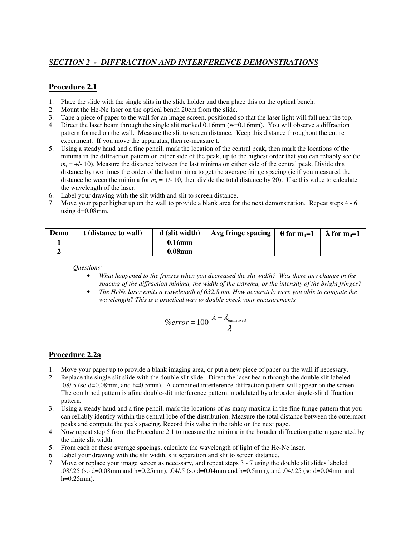## *SECTION 2 - DIFFRACTION AND INTERFERENCE DEMONSTRATIONS*

## **Procedure 2.1**

- 1. Place the slide with the single slits in the slide holder and then place this on the optical bench.
- 2. Mount the He-Ne laser on the optical bench 20cm from the slide.
- 3. Tape a piece of paper to the wall for an image screen, positioned so that the laser light will fall near the top.
- 4. Direct the laser beam through the single slit marked 0.16mm (w=0.16mm). You will observe a diffraction pattern formed on the wall. Measure the slit to screen distance. Keep this distance throughout the entire experiment. If you move the apparatus, then re-measure t.
- 5. Using a steady hand and a fine pencil, mark the location of the central peak, then mark the locations of the minima in the diffraction pattern on either side of the peak, up to the highest order that you can reliably see (ie.  $m_i = +/-10$ ). Measure the distance between the last minima on either side of the central peak. Divide this distance by two times the order of the last minima to get the average fringe spacing (ie if you measured the distance between the minima for  $m_i = +/-10$ , then divide the total distance by 20). Use this value to calculate the wavelength of the laser.
- 6. Label your drawing with the slit width and slit to screen distance.
- 7. Move your paper higher up on the wall to provide a blank area for the next demonstration. Repeat steps 4 6 using  $d=0.08$ mm.

| Demo | t (distance to wall) | d (slit width)     | Avg fringe spacing   $\theta$ for m <sub>d</sub> =1 $\pm$ | $\lambda$ for m <sub>d</sub> =1 |
|------|----------------------|--------------------|-----------------------------------------------------------|---------------------------------|
|      |                      | $0.16$ mm          |                                                           |                                 |
|      |                      | 0.08 <sub>mm</sub> |                                                           |                                 |

*Questions:* 

- *What happened to the fringes when you decreased the slit width? Was there any change in the spacing of the diffraction minima, the width of the extrema, or the intensity of the bright fringes?*
- *The HeNe laser emits a wavelength of 632.8 nm. How accurately were you able to compute the wavelength? This is a practical way to double check your measurements*

$$
\%error = 100 \left| \frac{\lambda - \lambda_{measured}}{\lambda} \right|
$$

## **Procedure 2.2a**

- 1. Move your paper up to provide a blank imaging area, or put a new piece of paper on the wall if necessary.
- 2. Replace the single slit slide with the double slit slide. Direct the laser beam through the double slit labeled .08/.5 (so d=0.08mm, and h=0.5mm). A combined interference-diffraction pattern will appear on the screen. The combined pattern is afine double-slit interference pattern, modulated by a broader single-slit diffraction pattern.
- 3. Using a steady hand and a fine pencil, mark the locations of as many maxima in the fine fringe pattern that you can reliably identify within the central lobe of the distribution. Measure the total distance between the outermost peaks and compute the peak spacing. Record this value in the table on the next page.
- 4. Now repeat step 5 from the Procedure 2.1 to measure the minima in the broader diffraction pattern generated by the finite slit width.
- 5. From each of these average spacings, calculate the wavelength of light of the He-Ne laser.
- 6. Label your drawing with the slit width, slit separation and slit to screen distance.
- 7. Move or replace your image screen as necessary, and repeat steps 3 7 using the double slit slides labeled .08/.25 (so d=0.08mm and h=0.25mm), .04/.5 (so d=0.04mm and h=0.5mm), and .04/.25 (so d=0.04mm and  $h=0.25$ mm).